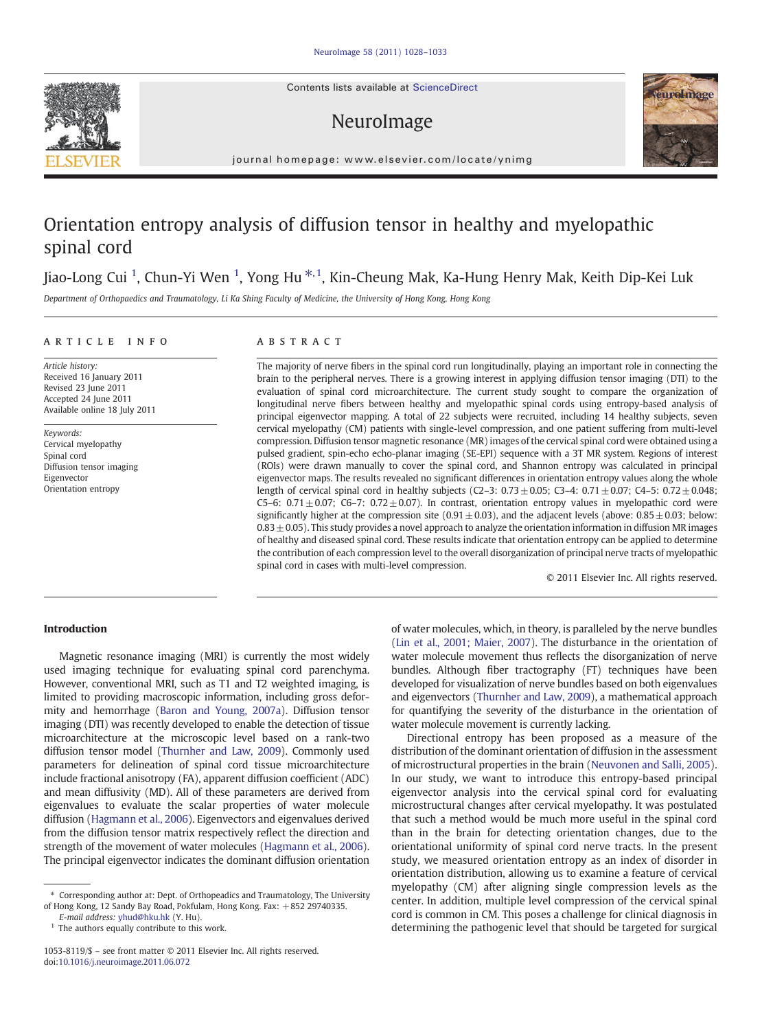Contents lists available at ScienceDirect

# NeuroImage



journal homepage: www.elsevier.com/locate/ynimg

# Orientation entropy analysis of diffusion tensor in healthy and myelopathic spinal cord

## Jiao-Long Cui <sup>1</sup>, Chun-Yi Wen <sup>1</sup>, Yong Hu <sup>\*, 1</sup>, Kin-Cheung Mak, Ka-Hung Henry Mak, Keith Dip-Kei Luk

Department of Orthopaedics and Traumatology, Li Ka Shing Faculty of Medicine, the University of Hong Kong, Hong Kong

### ARTICLE INFO ABSTRACT

Article history: Received 16 January 2011 Revised 23 June 2011 Accepted 24 June 2011 Available online 18 July 2011

Keywords: Cervical myelopathy Spinal cord Diffusion tensor imaging Eigenvector Orientation entropy

The majority of nerve fibers in the spinal cord run longitudinally, playing an important role in connecting the brain to the peripheral nerves. There is a growing interest in applying diffusion tensor imaging (DTI) to the evaluation of spinal cord microarchitecture. The current study sought to compare the organization of longitudinal nerve fibers between healthy and myelopathic spinal cords using entropy-based analysis of principal eigenvector mapping. A total of 22 subjects were recruited, including 14 healthy subjects, seven cervical myelopathy (CM) patients with single-level compression, and one patient suffering from multi-level compression. Diffusion tensor magnetic resonance (MR) images of the cervical spinal cord were obtained using a pulsed gradient, spin-echo echo-planar imaging (SE-EPI) sequence with a 3T MR system. Regions of interest (ROIs) were drawn manually to cover the spinal cord, and Shannon entropy was calculated in principal eigenvector maps. The results revealed no significant differences in orientation entropy values along the whole length of cervical spinal cord in healthy subjects (C2–3:  $0.73 \pm 0.05$ ; C3–4:  $0.71 \pm 0.07$ ; C4–5:  $0.72 \pm 0.048$ ; C5–6:  $0.71 \pm 0.07$ ; C6–7:  $0.72 \pm 0.07$ ). In contrast, orientation entropy values in myelopathic cord were significantly higher at the compression site (0.91 $\pm$ 0.03), and the adjacent levels (above: 0.85 $\pm$ 0.03; below:  $0.83 \pm 0.05$ ). This study provides a novel approach to analyze the orientation information in diffusion MR images of healthy and diseased spinal cord. These results indicate that orientation entropy can be applied to determine the contribution of each compression level to the overall disorganization of principal nerve tracts of myelopathic spinal cord in cases with multi-level compression.

© 2011 Elsevier Inc. All rights reserved.

### Introduction

Magnetic resonance imaging (MRI) is currently the most widely used imaging technique for evaluating spinal cord parenchyma. However, conventional MRI, such as T1 and T2 weighted imaging, is limited to providing macroscopic information, including gross deformity and hemorrhage [\(Baron and Young, 2007a\)](#page-4-0). Diffusion tensor imaging (DTI) was recently developed to enable the detection of tissue microarchitecture at the microscopic level based on a rank-two diffusion tensor model [\(Thurnher and Law, 2009](#page-5-0)). Commonly used parameters for delineation of spinal cord tissue microarchitecture include fractional anisotropy (FA), apparent diffusion coefficient (ADC) and mean diffusivity (MD). All of these parameters are derived from eigenvalues to evaluate the scalar properties of water molecule diffusion [\(Hagmann et al., 2006\)](#page-4-0). Eigenvectors and eigenvalues derived from the diffusion tensor matrix respectively reflect the direction and strength of the movement of water molecules ([Hagmann et al., 2006\)](#page-4-0). The principal eigenvector indicates the dominant diffusion orientation of water molecules, which, in theory, is paralleled by the nerve bundles [\(Lin et al., 2001; Maier, 2007](#page-5-0)). The disturbance in the orientation of water molecule movement thus reflects the disorganization of nerve bundles. Although fiber tractography (FT) techniques have been developed for visualization of nerve bundles based on both eigenvalues and eigenvectors ([Thurnher and Law, 2009](#page-5-0)), a mathematical approach for quantifying the severity of the disturbance in the orientation of water molecule movement is currently lacking.

Directional entropy has been proposed as a measure of the distribution of the dominant orientation of diffusion in the assessment of microstructural properties in the brain ([Neuvonen and Salli, 2005](#page-5-0)). In our study, we want to introduce this entropy-based principal eigenvector analysis into the cervical spinal cord for evaluating microstructural changes after cervical myelopathy. It was postulated that such a method would be much more useful in the spinal cord than in the brain for detecting orientation changes, due to the orientational uniformity of spinal cord nerve tracts. In the present study, we measured orientation entropy as an index of disorder in orientation distribution, allowing us to examine a feature of cervical myelopathy (CM) after aligning single compression levels as the center. In addition, multiple level compression of the cervical spinal cord is common in CM. This poses a challenge for clinical diagnosis in determining the pathogenic level that should be targeted for surgical



<sup>⁎</sup> Corresponding author at: Dept. of Orthopeadics and Traumatology, The University of Hong Kong, 12 Sandy Bay Road, Pokfulam, Hong Kong. Fax: +852 29740335.

E-mail address: [yhud@hku.hk](mailto:yhud@hku.hk) (Y. Hu).

 $1$  The authors equally contribute to this work.

<sup>1053-8119/\$</sup> – see front matter © 2011 Elsevier Inc. All rights reserved. doi[:10.1016/j.neuroimage.2011.06.072](http://dx.doi.org/10.1016/j.neuroimage.2011.06.072)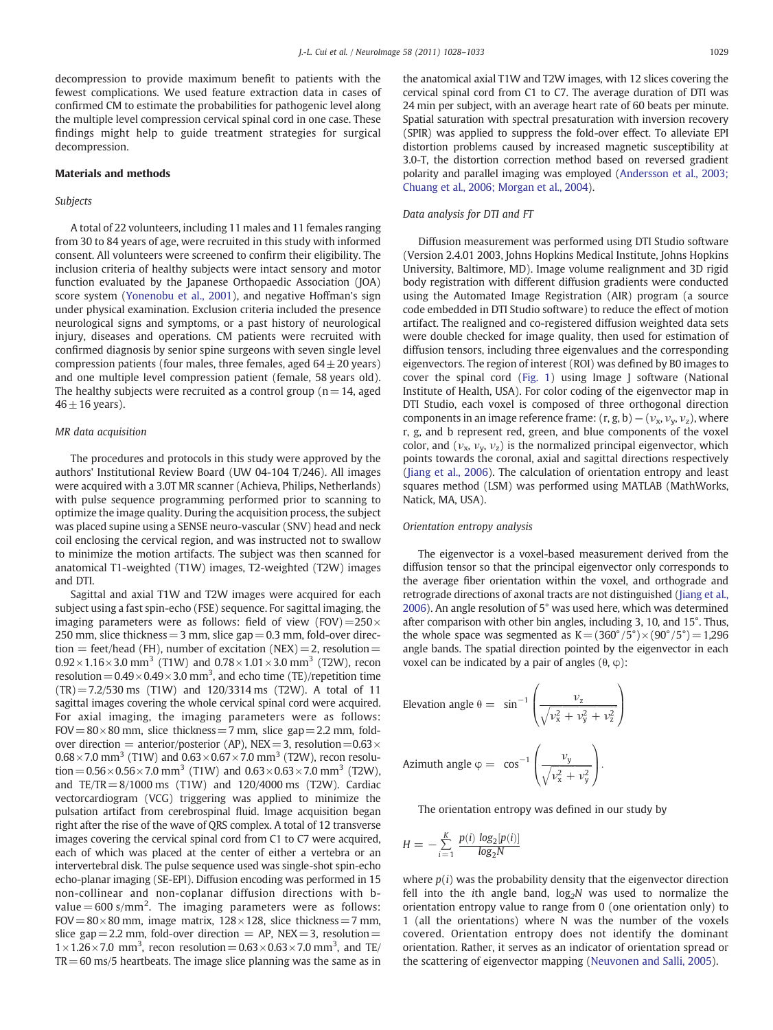decompression to provide maximum benefit to patients with the fewest complications. We used feature extraction data in cases of confirmed CM to estimate the probabilities for pathogenic level along the multiple level compression cervical spinal cord in one case. These findings might help to guide treatment strategies for surgical decompression.

#### Materials and methods

#### Subjects

A total of 22 volunteers, including 11 males and 11 females ranging from 30 to 84 years of age, were recruited in this study with informed consent. All volunteers were screened to confirm their eligibility. The inclusion criteria of healthy subjects were intact sensory and motor function evaluated by the Japanese Orthopaedic Association (JOA) score system [\(Yonenobu et al., 2001\)](#page-5-0), and negative Hoffman's sign under physical examination. Exclusion criteria included the presence neurological signs and symptoms, or a past history of neurological injury, diseases and operations. CM patients were recruited with confirmed diagnosis by senior spine surgeons with seven single level compression patients (four males, three females, aged  $64 \pm 20$  years) and one multiple level compression patient (female, 58 years old). The healthy subjects were recruited as a control group ( $n = 14$ , aged  $46 \pm 16$  years).

#### MR data acquisition

The procedures and protocols in this study were approved by the authors' Institutional Review Board (UW 04-104 T/246). All images were acquired with a 3.0T MR scanner (Achieva, Philips, Netherlands) with pulse sequence programming performed prior to scanning to optimize the image quality. During the acquisition process, the subject was placed supine using a SENSE neuro-vascular (SNV) head and neck coil enclosing the cervical region, and was instructed not to swallow to minimize the motion artifacts. The subject was then scanned for anatomical T1-weighted (T1W) images, T2-weighted (T2W) images and DTI.

Sagittal and axial T1W and T2W images were acquired for each subject using a fast spin-echo (FSE) sequence. For sagittal imaging, the imaging parameters were as follows: field of view (FOV) $=250\times$ 250 mm, slice thickness  $= 3$  mm, slice gap  $= 0.3$  mm, fold-over direction = feet/head (FH), number of excitation (NEX) = 2, resolution =  $0.92 \times 1.16 \times 3.0$  mm<sup>3</sup> (T1W) and  $0.78 \times 1.01 \times 3.0$  mm<sup>3</sup> (T2W), recon resolution =  $0.49 \times 0.49 \times 3.0$  mm<sup>3</sup>, and echo time (TE)/repetition time  $(TR) = 7.2/530$  ms  $(T1W)$  and 120/3314 ms  $(T2W)$ . A total of 11 sagittal images covering the whole cervical spinal cord were acquired. For axial imaging, the imaging parameters were as follows:  $FOV=80\times80$  mm, slice thickness = 7 mm, slice gap = 2.2 mm, foldover direction = anterior/posterior (AP), NEX = 3, resolution =  $0.63 \times$  $0.68\times7.0$  mm<sup>3</sup> (T1W) and  $0.63\times0.67\times7.0$  mm<sup>3</sup> (T2W), recon resolution =  $0.56 \times 0.56 \times 7.0$  mm<sup>3</sup> (T1W) and  $0.63 \times 0.63 \times 7.0$  mm<sup>3</sup> (T2W), and TE/TR  $= 8/1000 \text{ ms}$  (T1W) and 120/4000 ms (T2W). Cardiac vectorcardiogram (VCG) triggering was applied to minimize the pulsation artifact from cerebrospinal fluid. Image acquisition began right after the rise of the wave of QRS complex. A total of 12 transverse images covering the cervical spinal cord from C1 to C7 were acquired, each of which was placed at the center of either a vertebra or an intervertebral disk. The pulse sequence used was single-shot spin-echo echo-planar imaging (SE-EPI). Diffusion encoding was performed in 15 non-collinear and non-coplanar diffusion directions with bvalue  $= 600$  s/mm<sup>2</sup>. The imaging parameters were as follows:  $FOV = 80 \times 80$  mm, image matrix,  $128 \times 128$ , slice thickness = 7 mm, slice gap = 2.2 mm, fold-over direction = AP, NEX = 3, resolution =  $1 \times 1.26 \times 7.0$  mm<sup>3</sup>, recon resolution =  $0.63 \times 0.63 \times 7.0$  mm<sup>3</sup>, and TE/  $TR = 60$  ms/5 heartbeats. The image slice planning was the same as in the anatomical axial T1W and T2W images, with 12 slices covering the cervical spinal cord from C1 to C7. The average duration of DTI was 24 min per subject, with an average heart rate of 60 beats per minute. Spatial saturation with spectral presaturation with inversion recovery (SPIR) was applied to suppress the fold-over effect. To alleviate EPI distortion problems caused by increased magnetic susceptibility at 3.0-T, the distortion correction method based on reversed gradient polarity and parallel imaging was employed ([Andersson et al., 2003;](#page-4-0) [Chuang et al., 2006; Morgan et al., 2004](#page-4-0)).

#### Data analysis for DTI and FT

Diffusion measurement was performed using DTI Studio software (Version 2.4.01 2003, Johns Hopkins Medical Institute, Johns Hopkins University, Baltimore, MD). Image volume realignment and 3D rigid body registration with different diffusion gradients were conducted using the Automated Image Registration (AIR) program (a source code embedded in DTI Studio software) to reduce the effect of motion artifact. The realigned and co-registered diffusion weighted data sets were double checked for image quality, then used for estimation of diffusion tensors, including three eigenvalues and the corresponding eigenvectors. The region of interest (ROI) was defined by B0 images to cover the spinal cord ([Fig. 1](#page-2-0)) using Image J software (National Institute of Health, USA). For color coding of the eigenvector map in DTI Studio, each voxel is composed of three orthogonal direction components in an image reference frame:  $(r, g, b) - (v_x, v_y, v_z)$ , where r, g, and b represent red, green, and blue components of the voxel color, and  $(v_x, v_y, v_z)$  is the normalized principal eigenvector, which points towards the coronal, axial and sagittal directions respectively [\(Jiang et al., 2006](#page-4-0)). The calculation of orientation entropy and least squares method (LSM) was performed using MATLAB (MathWorks, Natick, MA, USA).

#### Orientation entropy analysis

The eigenvector is a voxel-based measurement derived from the diffusion tensor so that the principal eigenvector only corresponds to the average fiber orientation within the voxel, and orthograde and retrograde directions of axonal tracts are not distinguished ([Jiang et al.,](#page-4-0) [2006](#page-4-0)). An angle resolution of 5° was used here, which was determined after comparison with other bin angles, including 3, 10, and 15°. Thus, the whole space was segmented as  $K=(360^{\circ}/5^{\circ})\times(90^{\circ}/5^{\circ})=1,296$ angle bands. The spatial direction pointed by the eigenvector in each voxel can be indicated by a pair of angles  $(θ, φ)$ :

Elevation angle 
$$
\theta = \sin^{-1} \left( \frac{v_z}{\sqrt{v_x^2 + v_y^2 + v_z^2}} \right)
$$

\nAzimuth angle  $\varphi = \cos^{-1} \left( \frac{v_y}{\sqrt{v_x^2 + v_y^2}} \right)$ .

The orientation entropy was defined in our study by

$$
H = -\sum_{i=1}^{K} \frac{p(i) \log_2[p(i)]}{\log_2 N}
$$

where  $p(i)$  was the probability density that the eigenvector direction fell into the ith angle band,  $log_2N$  was used to normalize the orientation entropy value to range from 0 (one orientation only) to 1 (all the orientations) where N was the number of the voxels covered. Orientation entropy does not identify the dominant orientation. Rather, it serves as an indicator of orientation spread or the scattering of eigenvector mapping [\(Neuvonen and Salli, 2005\)](#page-5-0).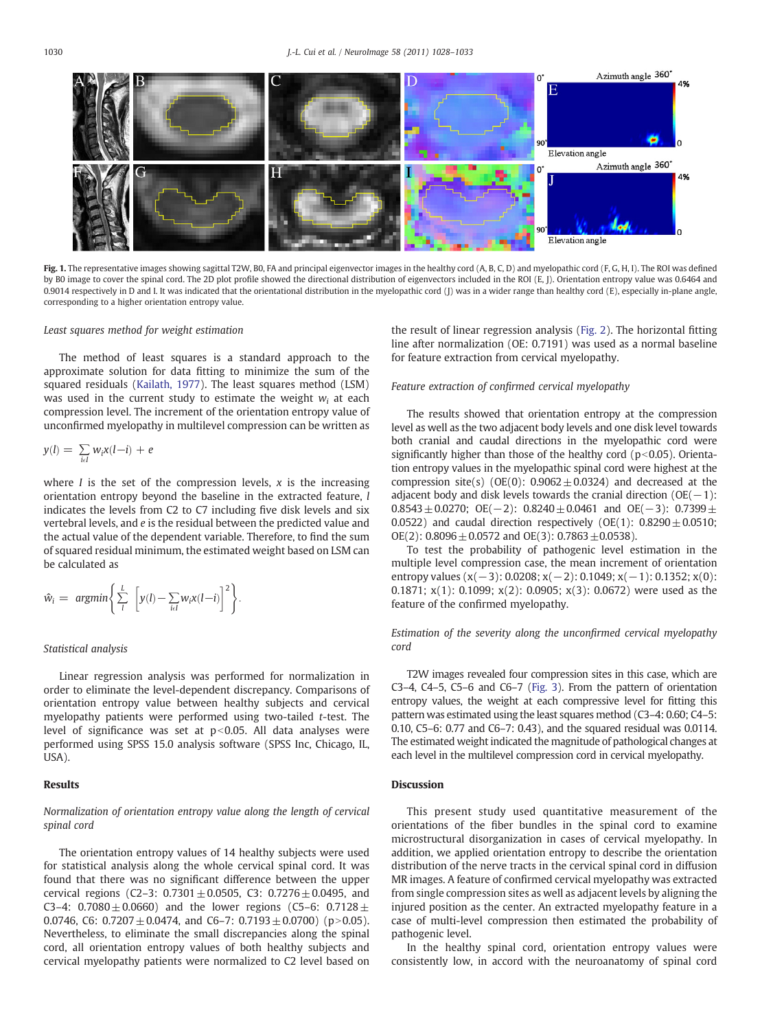<span id="page-2-0"></span>

Fig. 1. The representative images showing sagittal T2W, B0, FA and principal eigenvector images in the healthy cord (A, B, C, D) and myelopathic cord (F, G, H, I). The ROI was defined by B0 image to cover the spinal cord. The 2D plot profile showed the directional distribution of eigenvectors included in the ROI (E, J). Orientation entropy value was 0.6464 and 0.9014 respectively in D and I. It was indicated that the orientational distribution in the myelopathic cord (J) was in a wider range than healthy cord (E), especially in-plane angle, corresponding to a higher orientation entropy value.

#### Least squares method for weight estimation

The method of least squares is a standard approach to the approximate solution for data fitting to minimize the sum of the squared residuals [\(Kailath, 1977](#page-5-0)). The least squares method (LSM) was used in the current study to estimate the weight  $w_i$  at each compression level. The increment of the orientation entropy value of unconfirmed myelopathy in multilevel compression can be written as

$$
y(l) = \sum_{i \in I} w_i x(l-i) + e
$$

where  $I$  is the set of the compression levels,  $x$  is the increasing orientation entropy beyond the baseline in the extracted feature, l indicates the levels from C2 to C7 including five disk levels and six vertebral levels, and e is the residual between the predicted value and the actual value of the dependent variable. Therefore, to find the sum of squared residual minimum, the estimated weight based on LSM can be calculated as

$$
\hat{w}_i = \operatorname{argmin}\left\{\sum_{l}^{L} \left[ y(l) - \sum_{i \in I} w_i x(l-i) \right]^2 \right\}.
$$

#### Statistical analysis

Linear regression analysis was performed for normalization in order to eliminate the level-dependent discrepancy. Comparisons of orientation entropy value between healthy subjects and cervical myelopathy patients were performed using two-tailed t-test. The level of significance was set at  $p<0.05$ . All data analyses were performed using SPSS 15.0 analysis software (SPSS Inc, Chicago, IL, USA).

#### Results

### Normalization of orientation entropy value along the length of cervical spinal cord

The orientation entropy values of 14 healthy subjects were used for statistical analysis along the whole cervical spinal cord. It was found that there was no significant difference between the upper cervical regions (C2–3:  $0.7301 \pm 0.0505$ , C3:  $0.7276 \pm 0.0495$ , and C3–4:  $0.7080 \pm 0.0660$ ) and the lower regions (C5–6:  $0.7128 \pm 0.0660$ ) 0.0746, C6:  $0.7207 \pm 0.0474$ , and C6-7:  $0.7193 \pm 0.0700$  (p>0.05). Nevertheless, to eliminate the small discrepancies along the spinal cord, all orientation entropy values of both healthy subjects and cervical myelopathy patients were normalized to C2 level based on the result of linear regression analysis ([Fig. 2](#page-3-0)). The horizontal fitting line after normalization (OE: 0.7191) was used as a normal baseline for feature extraction from cervical myelopathy.

#### Feature extraction of confirmed cervical myelopathy

The results showed that orientation entropy at the compression level as well as the two adjacent body levels and one disk level towards both cranial and caudal directions in the myelopathic cord were significantly higher than those of the healthy cord ( $p<0.05$ ). Orientation entropy values in the myelopathic spinal cord were highest at the compression site(s) (OE(0):  $0.9062 \pm 0.0324$ ) and decreased at the adjacent body and disk levels towards the cranial direction  $(OE(-1))$ :  $0.8543 \pm 0.0270$ ; OE(-2):  $0.8240 \pm 0.0461$  and OE(-3):  $0.7399 \pm 0.0461$ 0.0522) and caudal direction respectively (OE(1):  $0.8290 \pm 0.0510$ ;  $OE(2)$ : 0.8096  $\pm$  0.0572 and OE(3): 0.7863  $\pm$ 0.0538).

To test the probability of pathogenic level estimation in the multiple level compression case, the mean increment of orientation entropy values (x(−3): 0.0208; x(−2): 0.1049; x(−1): 0.1352; x(0): 0.1871; x(1): 0.1099; x(2): 0.0905; x(3): 0.0672) were used as the feature of the confirmed myelopathy.

Estimation of the severity along the unconfirmed cervical myelopathy cord

T2W images revealed four compression sites in this case, which are C3–4, C4–5, C5–6 and C6–7 [\(Fig. 3\)](#page-3-0). From the pattern of orientation entropy values, the weight at each compressive level for fitting this pattern was estimated using the least squares method (C3–4: 0.60; C4–5: 0.10, C5–6: 0.77 and C6–7: 0.43), and the squared residual was 0.0114. The estimated weight indicated the magnitude of pathological changes at each level in the multilevel compression cord in cervical myelopathy.

#### **Discussion**

This present study used quantitative measurement of the orientations of the fiber bundles in the spinal cord to examine microstructural disorganization in cases of cervical myelopathy. In addition, we applied orientation entropy to describe the orientation distribution of the nerve tracts in the cervical spinal cord in diffusion MR images. A feature of confirmed cervical myelopathy was extracted from single compression sites as well as adjacent levels by aligning the injured position as the center. An extracted myelopathy feature in a case of multi-level compression then estimated the probability of pathogenic level.

In the healthy spinal cord, orientation entropy values were consistently low, in accord with the neuroanatomy of spinal cord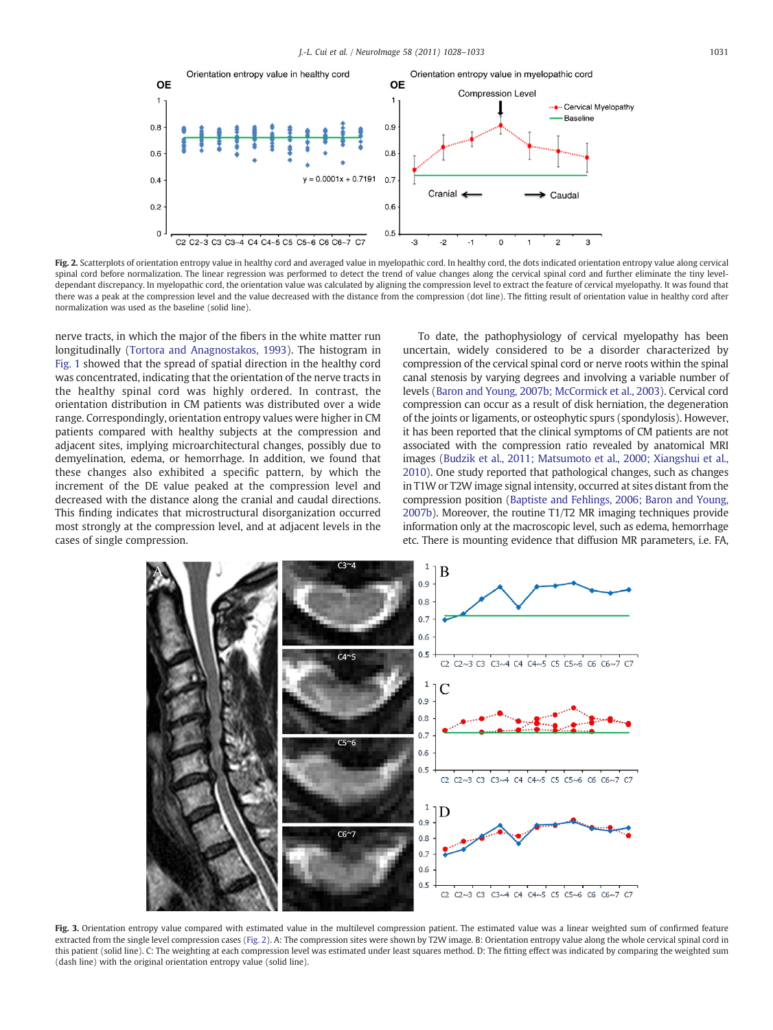<span id="page-3-0"></span>

Fig. 2. Scatterplots of orientation entropy value in healthy cord and averaged value in myelopathic cord. In healthy cord, the dots indicated orientation entropy value along cervical spinal cord before normalization. The linear regression was performed to detect the trend of value changes along the cervical spinal cord and further eliminate the tiny leveldependant discrepancy. In myelopathic cord, the orientation value was calculated by aligning the compression level to extract the feature of cervical myelopathy. It was found that there was a peak at the compression level and the value decreased with the distance from the compression (dot line). The fitting result of orientation value in healthy cord after normalization was used as the baseline (solid line).

nerve tracts, in which the major of the fibers in the white matter run longitudinally [\(Tortora and Anagnostakos, 1993\)](#page-5-0). The histogram in [Fig. 1](#page-2-0) showed that the spread of spatial direction in the healthy cord was concentrated, indicating that the orientation of the nerve tracts in the healthy spinal cord was highly ordered. In contrast, the orientation distribution in CM patients was distributed over a wide range. Correspondingly, orientation entropy values were higher in CM patients compared with healthy subjects at the compression and adjacent sites, implying microarchitectural changes, possibly due to demyelination, edema, or hemorrhage. In addition, we found that these changes also exhibited a specific pattern, by which the increment of the DE value peaked at the compression level and decreased with the distance along the cranial and caudal directions. This finding indicates that microstructural disorganization occurred most strongly at the compression level, and at adjacent levels in the cases of single compression.

To date, the pathophysiology of cervical myelopathy has been uncertain, widely considered to be a disorder characterized by compression of the cervical spinal cord or nerve roots within the spinal canal stenosis by varying degrees and involving a variable number of levels [\(Baron and Young, 2007b; McCormick et al., 2003](#page-4-0)). Cervical cord compression can occur as a result of disk herniation, the degeneration of the joints or ligaments, or osteophytic spurs (spondylosis). However, it has been reported that the clinical symptoms of CM patients are not associated with the compression ratio revealed by anatomical MRI images ([Budzik et al., 2011; Matsumoto et al., 2000; Xiangshui et al.,](#page-4-0) [2010](#page-4-0)). One study reported that pathological changes, such as changes in T1W or T2W image signal intensity, occurred at sites distant from the compression position [\(Baptiste and Fehlings, 2006; Baron and Young,](#page-4-0) [2007b\)](#page-4-0). Moreover, the routine T1/T2 MR imaging techniques provide information only at the macroscopic level, such as edema, hemorrhage etc. There is mounting evidence that diffusion MR parameters, i.e. FA,



Fig. 3. Orientation entropy value compared with estimated value in the multilevel compression patient. The estimated value was a linear weighted sum of confirmed feature extracted from the single level compression cases (Fig. 2). A: The compression sites were shown by T2W image. B: Orientation entropy value along the whole cervical spinal cord in this patient (solid line). C: The weighting at each compression level was estimated under least squares method. D: The fitting effect was indicated by comparing the weighted sum (dash line) with the original orientation entropy value (solid line).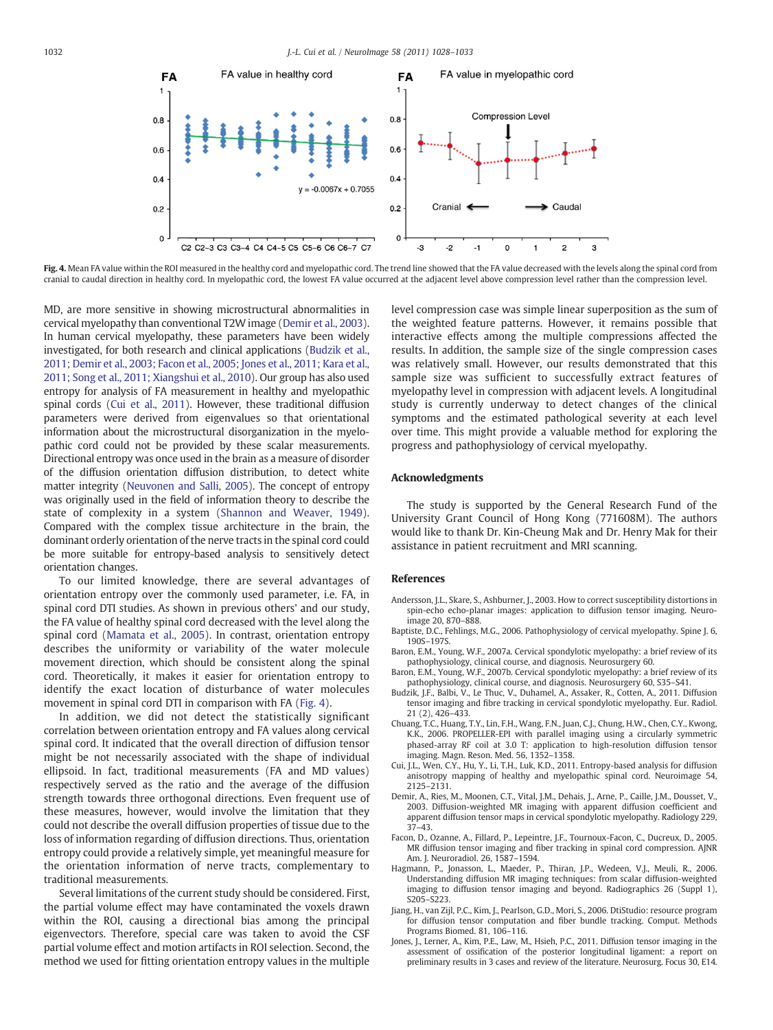<span id="page-4-0"></span>

Fig. 4. Mean FA value within the ROI measured in the healthy cord and myelopathic cord. The trend line showed that the FA value decreased with the levels along the spinal cord from cranial to caudal direction in healthy cord. In myelopathic cord, the lowest FA value occurred at the adjacent level above compression level rather than the compression level.

MD, are more sensitive in showing microstructural abnormalities in cervical myelopathy than conventional T2W image (Demir et al., 2003). In human cervical myelopathy, these parameters have been widely investigated, for both research and clinical applications (Budzik et al., 2011; Demir et al., 2003; Facon et al., 2005; Jones et al., 2011; Kara et al., 2011; Song et al., 2011; Xiangshui et al., 2010). Our group has also used entropy for analysis of FA measurement in healthy and myelopathic spinal cords (Cui et al., 2011). However, these traditional diffusion parameters were derived from eigenvalues so that orientational information about the microstructural disorganization in the myelopathic cord could not be provided by these scalar measurements. Directional entropy was once used in the brain as a measure of disorder of the diffusion orientation diffusion distribution, to detect white matter integrity ([Neuvonen and Salli, 2005](#page-5-0)). The concept of entropy was originally used in the field of information theory to describe the state of complexity in a system [\(Shannon and Weaver, 1949](#page-5-0)). Compared with the complex tissue architecture in the brain, the dominant orderly orientation of the nerve tracts in the spinal cord could be more suitable for entropy-based analysis to sensitively detect orientation changes.

To our limited knowledge, there are several advantages of orientation entropy over the commonly used parameter, i.e. FA, in spinal cord DTI studies. As shown in previous others' and our study, the FA value of healthy spinal cord decreased with the level along the spinal cord [\(Mamata et al., 2005\)](#page-5-0). In contrast, orientation entropy describes the uniformity or variability of the water molecule movement direction, which should be consistent along the spinal cord. Theoretically, it makes it easier for orientation entropy to identify the exact location of disturbance of water molecules movement in spinal cord DTI in comparison with FA (Fig. 4).

In addition, we did not detect the statistically significant correlation between orientation entropy and FA values along cervical spinal cord. It indicated that the overall direction of diffusion tensor might be not necessarily associated with the shape of individual ellipsoid. In fact, traditional measurements (FA and MD values) respectively served as the ratio and the average of the diffusion strength towards three orthogonal directions. Even frequent use of these measures, however, would involve the limitation that they could not describe the overall diffusion properties of tissue due to the loss of information regarding of diffusion directions. Thus, orientation entropy could provide a relatively simple, yet meaningful measure for the orientation information of nerve tracts, complementary to traditional measurements.

Several limitations of the current study should be considered. First, the partial volume effect may have contaminated the voxels drawn within the ROI, causing a directional bias among the principal eigenvectors. Therefore, special care was taken to avoid the CSF partial volume effect and motion artifacts in ROI selection. Second, the method we used for fitting orientation entropy values in the multiple

level compression case was simple linear superposition as the sum of the weighted feature patterns. However, it remains possible that interactive effects among the multiple compressions affected the results. In addition, the sample size of the single compression cases was relatively small. However, our results demonstrated that this sample size was sufficient to successfully extract features of myelopathy level in compression with adjacent levels. A longitudinal study is currently underway to detect changes of the clinical symptoms and the estimated pathological severity at each level over time. This might provide a valuable method for exploring the progress and pathophysiology of cervical myelopathy.

### Acknowledgments

The study is supported by the General Research Fund of the University Grant Council of Hong Kong (771608M). The authors would like to thank Dr. Kin-Cheung Mak and Dr. Henry Mak for their assistance in patient recruitment and MRI scanning.

#### References

- Andersson, J.L., Skare, S., Ashburner, J., 2003. How to correct susceptibility distortions in spin-echo echo-planar images: application to diffusion tensor imaging. Neuroimage 20, 870–888.
- Baptiste, D.C., Fehlings, M.G., 2006. Pathophysiology of cervical myelopathy. Spine J. 6, 190S–197S.
- Baron, E.M., Young, W.F., 2007a. Cervical spondylotic myelopathy: a brief review of its pathophysiology, clinical course, and diagnosis. Neurosurgery 60.
- Baron, E.M., Young, W.F., 2007b. Cervical spondylotic myelopathy: a brief review of its pathophysiology, clinical course, and diagnosis. Neurosurgery 60, S35–S41.
- Budzik, J.F., Balbi, V., Le Thuc, V., Duhamel, A., Assaker, R., Cotten, A., 2011. Diffusion tensor imaging and fibre tracking in cervical spondylotic myelopathy. Eur. Radiol. 21 (2), 426–433.
- Chuang, T.C., Huang, T.Y., Lin, F.H., Wang, F.N., Juan, C.J., Chung, H.W., Chen, C.Y., Kwong, K.K., 2006. PROPELLER-EPI with parallel imaging using a circularly symmetric phased-array RF coil at 3.0 T: application to high-resolution diffusion tensor imaging. Magn. Reson. Med. 56, 1352–1358.
- Cui, J.L., Wen, C.Y., Hu, Y., Li, T.H., Luk, K.D., 2011. Entropy-based analysis for diffusion anisotropy mapping of healthy and myelopathic spinal cord. Neuroimage 54, 2125–2131.
- Demir, A., Ries, M., Moonen, C.T., Vital, J.M., Dehais, J., Arne, P., Caille, J.M., Dousset, V., 2003. Diffusion-weighted MR imaging with apparent diffusion coefficient and apparent diffusion tensor maps in cervical spondylotic myelopathy. Radiology 229, 37–43.
- Facon, D., Ozanne, A., Fillard, P., Lepeintre, J.F., Tournoux-Facon, C., Ducreux, D., 2005. MR diffusion tensor imaging and fiber tracking in spinal cord compression. AJNR Am. J. Neuroradiol. 26, 1587–1594.
- Hagmann, P., Jonasson, L., Maeder, P., Thiran, J.P., Wedeen, V.J., Meuli, R., 2006. Understanding diffusion MR imaging techniques: from scalar diffusion-weighted imaging to diffusion tensor imaging and beyond. Radiographics 26 (Suppl 1), S205–S223.
- Jiang, H., van Zijl, P.C., Kim, J., Pearlson, G.D., Mori, S., 2006. DtiStudio: resource program for diffusion tensor computation and fiber bundle tracking. Comput. Methods Programs Biomed. 81, 106–116.
- Jones, J., Lerner, A., Kim, P.E., Law, M., Hsieh, P.C., 2011. Diffusion tensor imaging in the assessment of ossification of the posterior longitudinal ligament: a report on preliminary results in 3 cases and review of the literature. Neurosurg. Focus 30, E14.